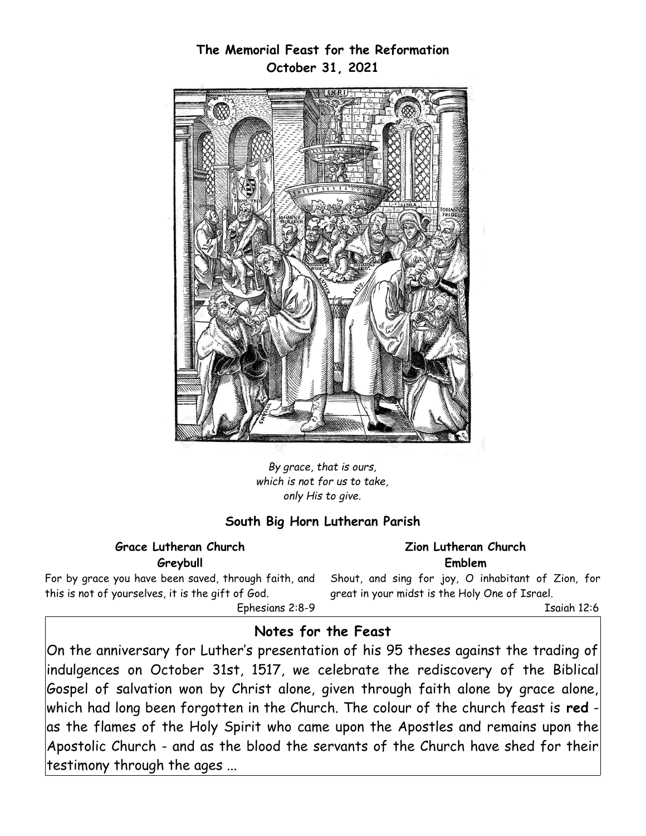

*By grace, that is ours, which is not for us to take, only His to give.*

#### **South Big Horn Lutheran Parish**

#### **Grace Lutheran Church Greybull**

**Zion Lutheran Church Emblem**

For by grace you have been saved, through faith, and this is not of yourselves, it is the gift of God. Ephesians 2:8-9 Shout, and sing for joy, O inhabitant of Zion, for great in your midst is the Holy One of Israel.

Isaiah 12:6

## **Notes for the Feast**

On the anniversary for Luther's presentation of his 95 theses against the trading of indulgences on October 31st, 1517, we celebrate the rediscovery of the Biblical  $\bm{\beta}$ Gospel of salvation won by Christ alone, given through faith alone by grace alone, which had long been forgotten in the Church. The colour of the church feast is **red** -  $|$ as the flames of the Holy Spirit who came upon the Apostles and remains upon the $|$ Apostolic Church - and as the blood the servants of the Church have shed for their testimony through the ages ...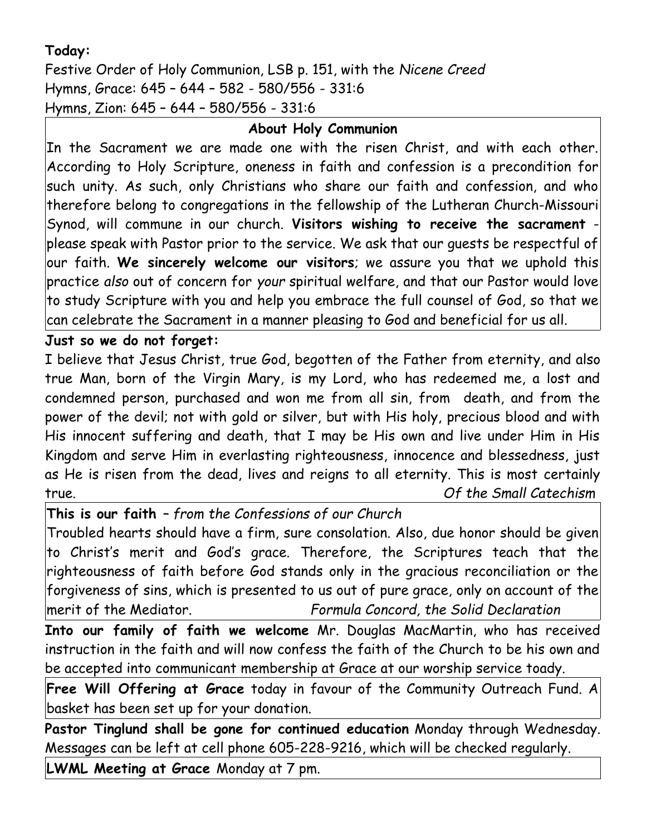## **Today:**

Festive Order of Holy Communion, LSB p. 151, with the *Nicene Creed* Hymns, Grace: 645 – 644 – 582 - 580/556 - 331:6 Hymns, Zion: 645 – 644 – 580/556 - 331:6

# **About Holy Communion**

In the Sacrament we are made one with the risen Christ, and with each other. According to Holy Scripture, oneness in faith and confession is a precondition for such unity. As such, only Christians who share our faith and confession, and who therefore belong to congregations in the fellowship of the Lutheran Church-Missouri Synod, will commune in our church. **Visitors wishing to receive the sacrament** please speak with Pastor prior to the service. We ask that our guests be respectful of our faith. **We sincerely welcome our visitors**; we assure you that we uphold this practice *also* out of concern for *your* spiritual welfare, and that our Pastor would love to study Scripture with you and help you embrace the full counsel of God, so that we can celebrate the Sacrament in a manner pleasing to God and beneficial for us all.

## **Just so we do not forget:**

I believe that Jesus Christ, true God, begotten of the Father from eternity, and also true Man, born of the Virgin Mary, is my Lord, who has redeemed me, a lost and condemned person, purchased and won me from all sin, from death, and from the power of the devil; not with gold or silver, but with His holy, precious blood and with His innocent suffering and death, that I may be His own and live under Him in His Kingdom and serve Him in everlasting righteousness, innocence and blessedness, just as He is risen from the dead, lives and reigns to all eternity. This is most certainly true. *Of the Small Catechism*

**This is our faith** *– from the Confessions of our Church*

Troubled hearts should have a firm, sure consolation. Also, due honor should be given to Christ's merit and God's grace. Therefore, the Scriptures teach that the righteousness of faith before God stands only in the gracious reconciliation or the forgiveness of sins, which is presented to us out of pure grace, only on account of the merit of the Mediator. *Formula Concord, the Solid Declaration*

**Into our family of faith we welcome** Mr. Douglas MacMartin, who has received instruction in the faith and will now confess the faith of the Church to be his own and be accepted into communicant membership at Grace at our worship service toady.

**Free Will Offering at Grace** today in favour of the Community Outreach Fund. A basket has been set up for your donation.

**Pastor Tinglund shall be gone for continued education** Monday through Wednesday. Messages can be left at cell phone 605-228-9216, which will be checked regularly.

**LWML Meeting at Grace** Monday at 7 pm.